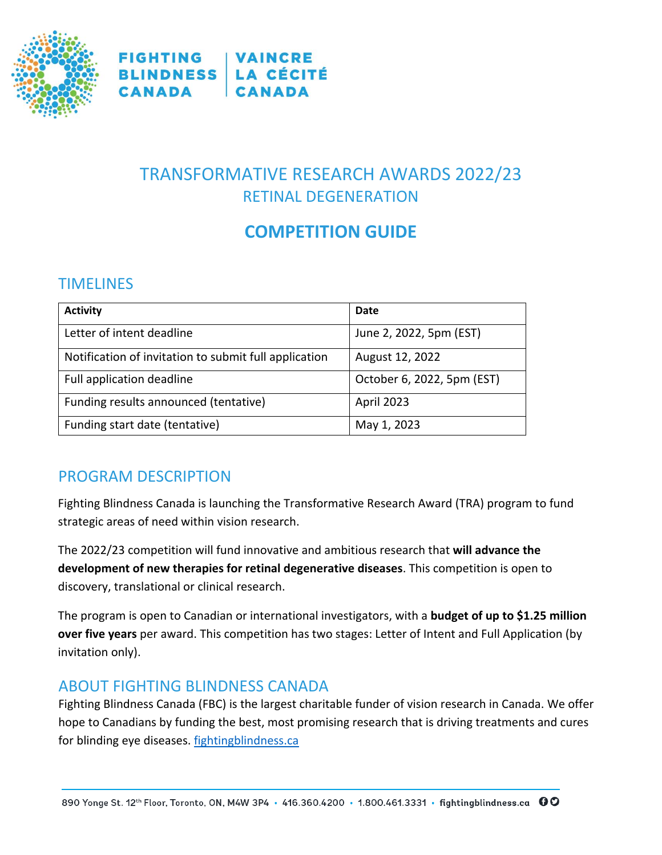

**FIGHTING | VAINCRE BLINDNESS LA CÉCITÉ** CANADA **CANADA** 

# TRANSFORMATIVE RESEARCH AWARDS 2022/23 RETINAL DEGENERATION

# **COMPETITION GUIDE**

## TIMELINES

| <b>Activity</b>                                       | Date                       |
|-------------------------------------------------------|----------------------------|
| Letter of intent deadline                             | June 2, 2022, 5pm (EST)    |
| Notification of invitation to submit full application | August 12, 2022            |
| Full application deadline                             | October 6, 2022, 5pm (EST) |
| Funding results announced (tentative)                 | April 2023                 |
| Funding start date (tentative)                        | May 1, 2023                |

## PROGRAM DESCRIPTION

Fighting Blindness Canada is launching the Transformative Research Award (TRA) program to fund strategic areas of need within vision research.

The 2022/23 competition will fund innovative and ambitious research that **will advance the development of new therapies for retinal degenerative diseases**. This competition is open to discovery, translational or clinical research.

The program is open to Canadian or international investigators, with a **budget of up to \$1.25 million over five years** per award. This competition has two stages: Letter of Intent and Full Application (by invitation only).

## ABOUT FIGHTING BLINDNESS CANADA

Fighting Blindness Canada (FBC) is the largest charitable funder of vision research in Canada. We offer hope to Canadians by funding the best, most promising research that is driving treatments and cures for blinding eye diseases. [fightingblindness.ca](http://www.fightingblindness.ca/)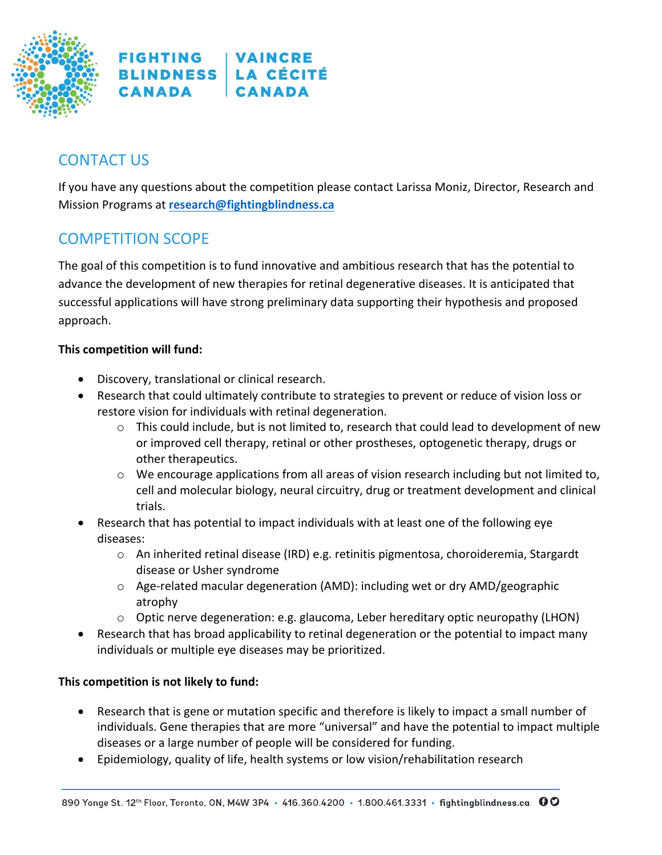

## CONTACT US

If you have any questions about the competition please contact Larissa Moniz, Director, Research and Mission Programs at **[research@fightingblindness.ca](mailto:research@fightingblindness.ca)**

## COMPETITION SCOPE

The goal of this competition is to fund innovative and ambitious research that has the potential to advance the development of new therapies for retinal degenerative diseases. It is anticipated that successful applications will have strong preliminary data supporting their hypothesis and proposed approach.

#### **This competition will fund:**

- Discovery, translational or clinical research.
- Research that could ultimately contribute to strategies to prevent or reduce of vision loss or restore vision for individuals with retinal degeneration.
	- o This could include, but is not limited to, research that could lead to development of new or improved cell therapy, retinal or other prostheses, optogenetic therapy, drugs or other therapeutics.
	- o We encourage applications from all areas of vision research including but not limited to, cell and molecular biology, neural circuitry, drug or treatment development and clinical trials.
- Research that has potential to impact individuals with at least one of the following eye diseases:
	- $\circ$  An inherited retinal disease (IRD) e.g. retinitis pigmentosa, choroideremia, Stargardt disease or Usher syndrome
	- $\circ$  Age-related macular degeneration (AMD): including wet or dry AMD/geographic atrophy
	- $\circ$  Optic nerve degeneration: e.g. glaucoma, Leber hereditary optic neuropathy (LHON)
- Research that has broad applicability to retinal degeneration or the potential to impact many individuals or multiple eye diseases may be prioritized.

#### **This competition is not likely to fund:**

- Research that is gene or mutation specific and therefore is likely to impact a small number of individuals. Gene therapies that are more "universal" and have the potential to impact multiple diseases or a large number of people will be considered for funding.
- Epidemiology, quality of life, health systems or low vision/rehabilitation research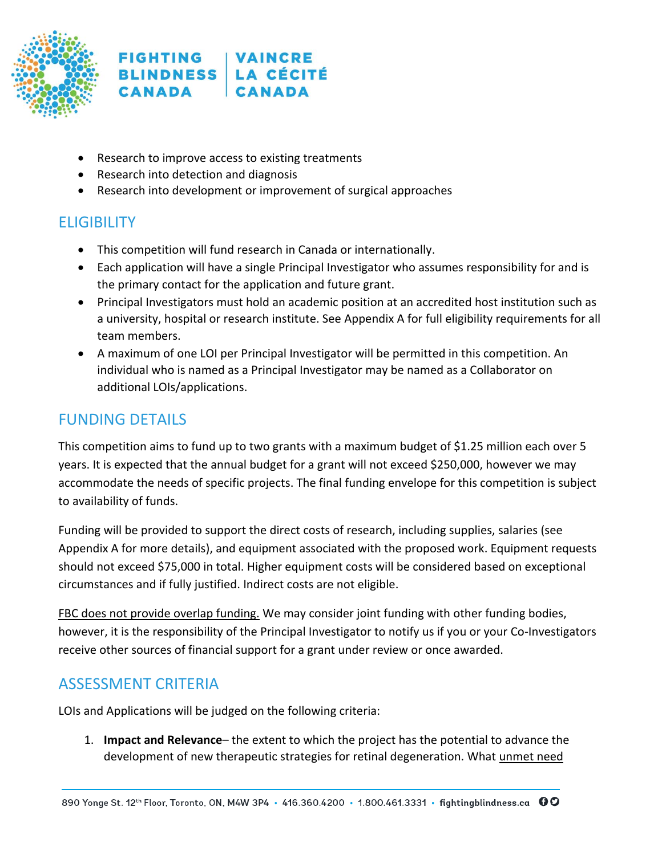

- Research to improve access to existing treatments
- Research into detection and diagnosis
- Research into development or improvement of surgical approaches

# ELIGIBILITY

- This competition will fund research in Canada or internationally.
- Each application will have a single Principal Investigator who assumes responsibility for and is the primary contact for the application and future grant.
- Principal Investigators must hold an academic position at an accredited host institution such as a university, hospital or research institute. See Appendix A for full eligibility requirements for all team members.
- A maximum of one LOI per Principal Investigator will be permitted in this competition. An individual who is named as a Principal Investigator may be named as a Collaborator on additional LOIs/applications.

## FUNDING DETAILS

This competition aims to fund up to two grants with a maximum budget of \$1.25 million each over 5 years. It is expected that the annual budget for a grant will not exceed \$250,000, however we may accommodate the needs of specific projects. The final funding envelope for this competition is subject to availability of funds.

Funding will be provided to support the direct costs of research, including supplies, salaries (see Appendix A for more details), and equipment associated with the proposed work. Equipment requests should not exceed \$75,000 in total. Higher equipment costs will be considered based on exceptional circumstances and if fully justified. Indirect costs are not eligible.

FBC does not provide overlap funding. We may consider joint funding with other funding bodies, however, it is the responsibility of the Principal Investigator to notify us if you or your Co-Investigators receive other sources of financial support for a grant under review or once awarded.

## ASSESSMENT CRITERIA

LOIs and Applications will be judged on the following criteria:

1. **Impact and Relevance**– the extent to which the project has the potential to advance the development of new therapeutic strategies for retinal degeneration. What unmet need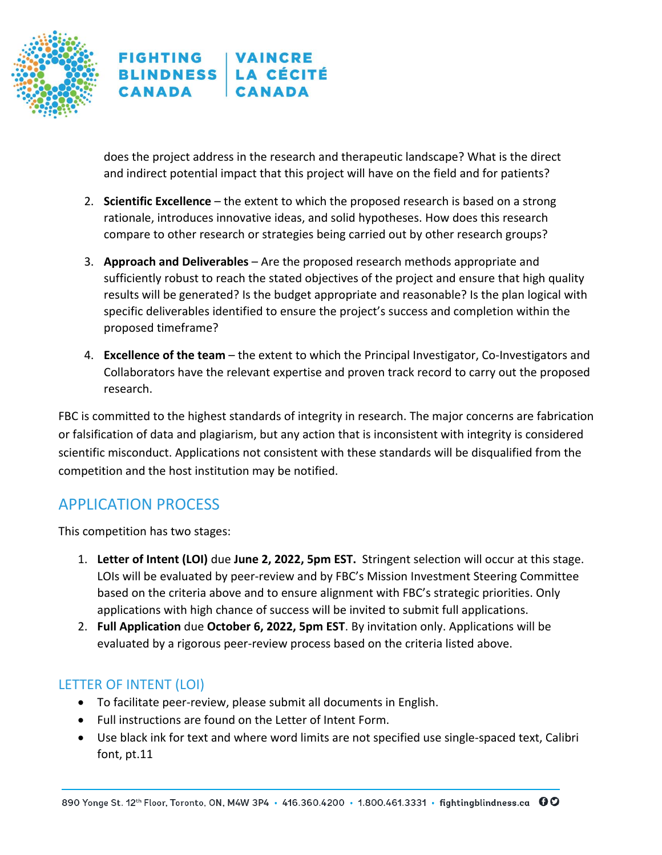

does the project address in the research and therapeutic landscape? What is the direct and indirect potential impact that this project will have on the field and for patients?

- 2. **Scientific Excellence**  the extent to which the proposed research is based on a strong rationale, introduces innovative ideas, and solid hypotheses. How does this research compare to other research or strategies being carried out by other research groups?
- 3. **Approach and Deliverables** Are the proposed research methods appropriate and sufficiently robust to reach the stated objectives of the project and ensure that high quality results will be generated? Is the budget appropriate and reasonable? Is the plan logical with specific deliverables identified to ensure the project's success and completion within the proposed timeframe?
- 4. **Excellence of the team**  the extent to which the Principal Investigator, Co-Investigators and Collaborators have the relevant expertise and proven track record to carry out the proposed research.

FBC is committed to the highest standards of integrity in research. The major concerns are fabrication or falsification of data and plagiarism, but any action that is inconsistent with integrity is considered scientific misconduct. Applications not consistent with these standards will be disqualified from the competition and the host institution may be notified.

## APPLICATION PROCESS

This competition has two stages:

- 1. **Letter of Intent (LOI)** due **June 2, 2022, 5pm EST.** Stringent selection will occur at this stage. LOIs will be evaluated by peer-review and by FBC's Mission Investment Steering Committee based on the criteria above and to ensure alignment with FBC's strategic priorities. Only applications with high chance of success will be invited to submit full applications.
- 2. **Full Application** due **October 6, 2022, 5pm EST**. By invitation only. Applications will be evaluated by a rigorous peer-review process based on the criteria listed above.

## LETTER OF INTENT (LOI)

- To facilitate peer-review, please submit all documents in English.
- Full instructions are found on the Letter of Intent Form.
- Use black ink for text and where word limits are not specified use single-spaced text, Calibri font, pt.11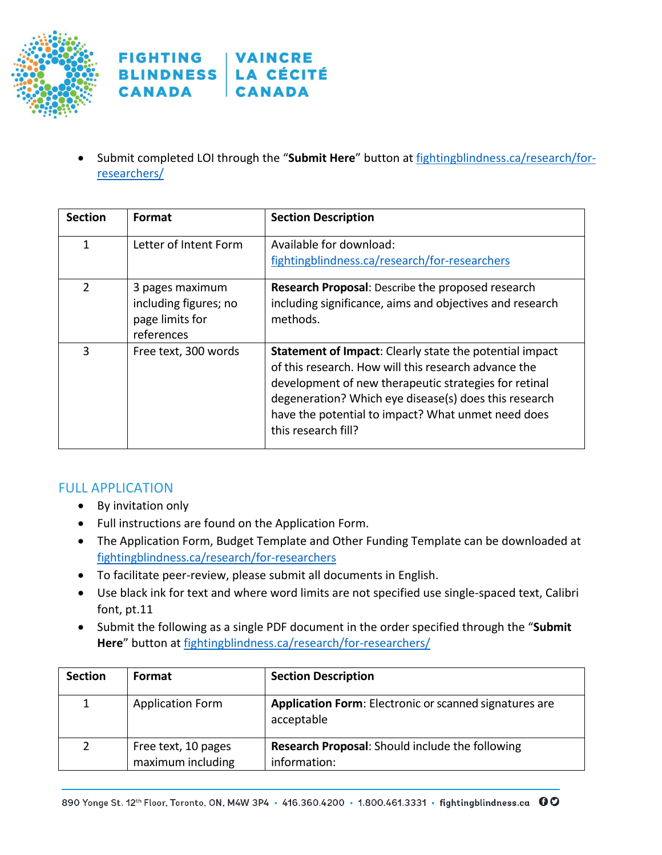

#### **FIGHTING VAINCRE BLINDNESS LA CÉCITÉ CANADA CANADA**

• Submit completed LOI through the "**Submit Here**" button at [fightingblindness.ca/research/for](https://www.fightingblindness.ca/research/for-researchers/)[researchers/](https://www.fightingblindness.ca/research/for-researchers/)

| <b>Section</b> | Format                                                                    | <b>Section Description</b>                                                                                                                                                                                                                                                                                     |
|----------------|---------------------------------------------------------------------------|----------------------------------------------------------------------------------------------------------------------------------------------------------------------------------------------------------------------------------------------------------------------------------------------------------------|
| 1              | Letter of Intent Form                                                     | Available for download:<br>fightingblindness.ca/research/for-researchers                                                                                                                                                                                                                                       |
| $\mathcal{P}$  | 3 pages maximum<br>including figures; no<br>page limits for<br>references | <b>Research Proposal:</b> Describe the proposed research<br>including significance, aims and objectives and research<br>methods.                                                                                                                                                                               |
| 3              | Free text, 300 words                                                      | Statement of Impact: Clearly state the potential impact<br>of this research. How will this research advance the<br>development of new therapeutic strategies for retinal<br>degeneration? Which eye disease(s) does this research<br>have the potential to impact? What unmet need does<br>this research fill? |

### FULL APPLICATION

- By invitation only
- Full instructions are found on the Application Form.
- The Application Form, Budget Template and Other Funding Template can be downloaded at [fightingblindness.ca/research/for-researchers](https://www.fightingblindness.ca/research/for-researchers/)
- To facilitate peer-review, please submit all documents in English.
- Use black ink for text and where word limits are not specified use single-spaced text, Calibri font, pt.11
- Submit the following as a single PDF document in the order specified through the "**Submit Here**" button at [fightingblindness.ca/research/for-researchers/](https://www.fightingblindness.ca/research/for-researchers/)

| <b>Section</b> | Format                  | <b>Section Description</b>                                           |
|----------------|-------------------------|----------------------------------------------------------------------|
|                | <b>Application Form</b> | Application Form: Electronic or scanned signatures are<br>acceptable |
|                | Free text, 10 pages     | <b>Research Proposal:</b> Should include the following               |
|                | maximum including       | information:                                                         |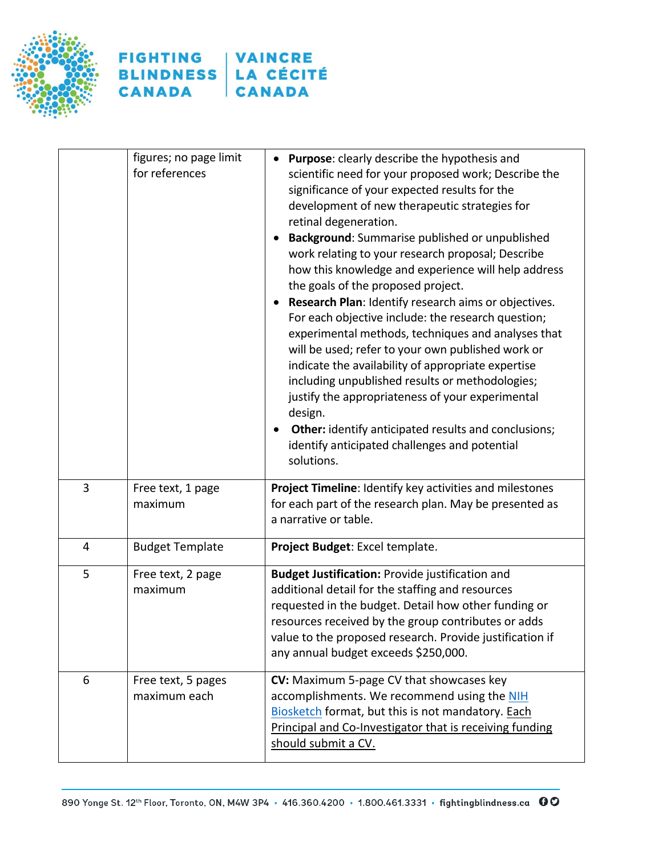



|   | figures; no page limit<br>for references | Purpose: clearly describe the hypothesis and<br>scientific need for your proposed work; Describe the<br>significance of your expected results for the<br>development of new therapeutic strategies for<br>retinal degeneration.<br>Background: Summarise published or unpublished<br>$\bullet$<br>work relating to your research proposal; Describe<br>how this knowledge and experience will help address<br>the goals of the proposed project.<br>Research Plan: Identify research aims or objectives.<br>For each objective include: the research question;<br>experimental methods, techniques and analyses that<br>will be used; refer to your own published work or<br>indicate the availability of appropriate expertise<br>including unpublished results or methodologies;<br>justify the appropriateness of your experimental<br>design.<br><b>Other:</b> identify anticipated results and conclusions;<br>identify anticipated challenges and potential<br>solutions. |
|---|------------------------------------------|---------------------------------------------------------------------------------------------------------------------------------------------------------------------------------------------------------------------------------------------------------------------------------------------------------------------------------------------------------------------------------------------------------------------------------------------------------------------------------------------------------------------------------------------------------------------------------------------------------------------------------------------------------------------------------------------------------------------------------------------------------------------------------------------------------------------------------------------------------------------------------------------------------------------------------------------------------------------------------|
| 3 | Free text, 1 page<br>maximum             | Project Timeline: Identify key activities and milestones<br>for each part of the research plan. May be presented as<br>a narrative or table.                                                                                                                                                                                                                                                                                                                                                                                                                                                                                                                                                                                                                                                                                                                                                                                                                                    |
| 4 | <b>Budget Template</b>                   | Project Budget: Excel template.                                                                                                                                                                                                                                                                                                                                                                                                                                                                                                                                                                                                                                                                                                                                                                                                                                                                                                                                                 |
| 5 | Free text, 2 page<br>maximum             | Budget Justification: Provide justification and<br>additional detail for the staffing and resources<br>requested in the budget. Detail how other funding or<br>resources received by the group contributes or adds<br>value to the proposed research. Provide justification if<br>any annual budget exceeds \$250,000.                                                                                                                                                                                                                                                                                                                                                                                                                                                                                                                                                                                                                                                          |
| 6 | Free text, 5 pages<br>maximum each       | CV: Maximum 5-page CV that showcases key<br>accomplishments. We recommend using the NIH<br>Biosketch format, but this is not mandatory. Each<br>Principal and Co-Investigator that is receiving funding<br>should submit a CV.                                                                                                                                                                                                                                                                                                                                                                                                                                                                                                                                                                                                                                                                                                                                                  |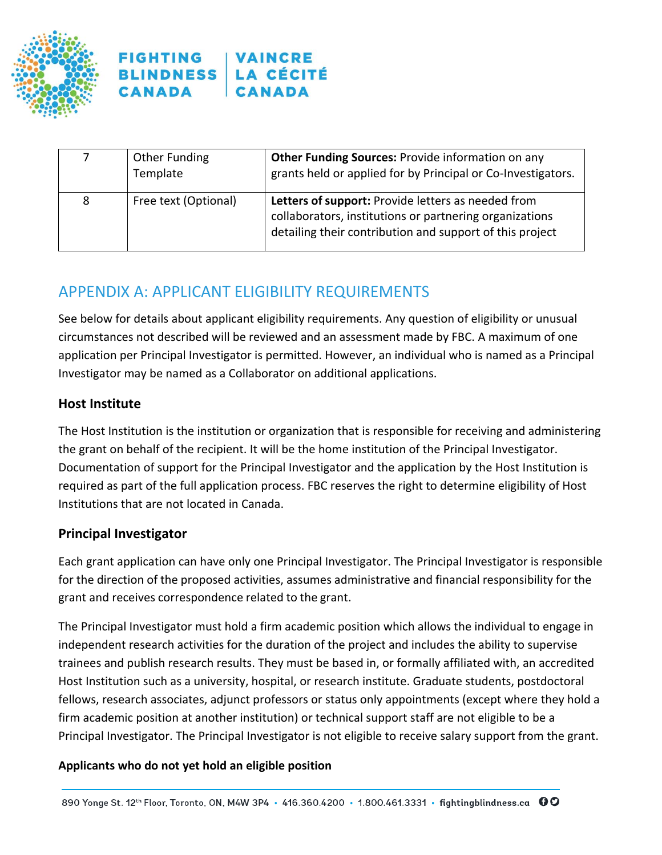



|   | Other Funding<br>Template | <b>Other Funding Sources: Provide information on any</b><br>grants held or applied for by Principal or Co-Investigators.                                                  |
|---|---------------------------|---------------------------------------------------------------------------------------------------------------------------------------------------------------------------|
| 8 | Free text (Optional)      | Letters of support: Provide letters as needed from<br>collaborators, institutions or partnering organizations<br>detailing their contribution and support of this project |

## APPENDIX A: APPLICANT ELIGIBILITY REQUIREMENTS

See below for details about applicant eligibility requirements. Any question of eligibility or unusual circumstances not described will be reviewed and an assessment made by FBC. A maximum of one application per Principal Investigator is permitted. However, an individual who is named as a Principal Investigator may be named as a Collaborator on additional applications.

#### **Host Institute**

The Host Institution is the institution or organization that is responsible for receiving and administering the grant on behalf of the recipient. It will be the home institution of the Principal Investigator. Documentation of support for the Principal Investigator and the application by the Host Institution is required as part of the full application process. FBC reserves the right to determine eligibility of Host Institutions that are not located in Canada.

### **Principal Investigator**

Each grant application can have only one Principal Investigator. The Principal Investigator is responsible for the direction of the proposed activities, assumes administrative and financial responsibility for the grant and receives correspondence related to the grant.

The Principal Investigator must hold a firm academic position which allows the individual to engage in independent research activities for the duration of the project and includes the ability to supervise trainees and publish research results. They must be based in, or formally affiliated with, an accredited Host Institution such as a university, hospital, or research institute. Graduate students, postdoctoral fellows, research associates, adjunct professors or status only appointments (except where they hold a firm academic position at another institution) or technical support staff are not eligible to be a Principal Investigator. The Principal Investigator is not eligible to receive salary support from the grant.

#### **Applicants who do not yet hold an eligible position**